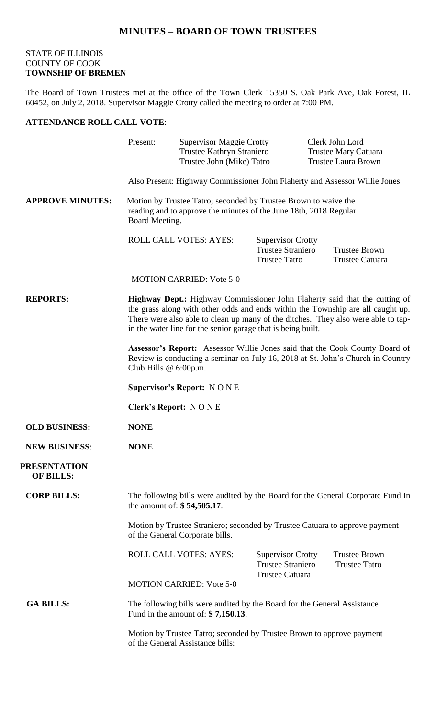## **MINUTES – BOARD OF TOWN TRUSTEES**

## STATE OF ILLINOIS COUNTY OF COOK **TOWNSHIP OF BREMEN**

The Board of Town Trustees met at the office of the Town Clerk 15350 S. Oak Park Ave, Oak Forest, IL 60452, on July 2, 2018. Supervisor Maggie Crotty called the meeting to order at 7:00 PM.

## **ATTENDANCE ROLL CALL VOTE**:

|                                         | Present:                                                                                                                                                                                                                                                                                                                  | <b>Supervisor Maggie Crotty</b><br>Trustee Kathryn Straniero<br>Trustee John (Mike) Tatro |                                                                              | Clerk John Lord<br><b>Trustee Mary Catuara</b><br><b>Trustee Laura Brown</b> |  |
|-----------------------------------------|---------------------------------------------------------------------------------------------------------------------------------------------------------------------------------------------------------------------------------------------------------------------------------------------------------------------------|-------------------------------------------------------------------------------------------|------------------------------------------------------------------------------|------------------------------------------------------------------------------|--|
|                                         | Also Present: Highway Commissioner John Flaherty and Assessor Willie Jones                                                                                                                                                                                                                                                |                                                                                           |                                                                              |                                                                              |  |
| <b>APPROVE MINUTES:</b>                 | Motion by Trustee Tatro; seconded by Trustee Brown to waive the<br>reading and to approve the minutes of the June 18th, 2018 Regular<br>Board Meeting.                                                                                                                                                                    |                                                                                           |                                                                              |                                                                              |  |
|                                         |                                                                                                                                                                                                                                                                                                                           | <b>ROLL CALL VOTES: AYES:</b>                                                             | <b>Supervisor Crotty</b><br><b>Trustee Straniero</b><br><b>Trustee Tatro</b> | <b>Trustee Brown</b><br>Trustee Catuara                                      |  |
|                                         |                                                                                                                                                                                                                                                                                                                           | <b>MOTION CARRIED: Vote 5-0</b>                                                           |                                                                              |                                                                              |  |
| <b>REPORTS:</b>                         | <b>Highway Dept.:</b> Highway Commissioner John Flaherty said that the cutting of<br>the grass along with other odds and ends within the Township are all caught up.<br>There were also able to clean up many of the ditches. They also were able to tap-<br>in the water line for the senior garage that is being built. |                                                                                           |                                                                              |                                                                              |  |
|                                         | Assessor's Report: Assessor Willie Jones said that the Cook County Board of<br>Review is conducting a seminar on July 16, 2018 at St. John's Church in Country<br>Club Hills $@6:00p.m.$                                                                                                                                  |                                                                                           |                                                                              |                                                                              |  |
|                                         | <b>Supervisor's Report: NONE</b>                                                                                                                                                                                                                                                                                          |                                                                                           |                                                                              |                                                                              |  |
|                                         | <b>Clerk's Report: NONE</b>                                                                                                                                                                                                                                                                                               |                                                                                           |                                                                              |                                                                              |  |
| <b>OLD BUSINESS:</b>                    | <b>NONE</b>                                                                                                                                                                                                                                                                                                               |                                                                                           |                                                                              |                                                                              |  |
| <b>NEW BUSINESS:</b>                    | <b>NONE</b>                                                                                                                                                                                                                                                                                                               |                                                                                           |                                                                              |                                                                              |  |
| <b>PRESENTATION</b><br><b>OF BILLS:</b> |                                                                                                                                                                                                                                                                                                                           |                                                                                           |                                                                              |                                                                              |  |
| <b>CORP BILLS:</b>                      | The following bills were audited by the Board for the General Corporate Fund in<br>the amount of: \$54,505.17.                                                                                                                                                                                                            |                                                                                           |                                                                              |                                                                              |  |
|                                         | Motion by Trustee Straniero; seconded by Trustee Catuara to approve payment<br>of the General Corporate bills.                                                                                                                                                                                                            |                                                                                           |                                                                              |                                                                              |  |
|                                         |                                                                                                                                                                                                                                                                                                                           | ROLL CALL VOTES: AYES:                                                                    | <b>Supervisor Crotty</b><br><b>Trustee Straniero</b>                         | <b>Trustee Brown</b><br><b>Trustee Tatro</b>                                 |  |
|                                         |                                                                                                                                                                                                                                                                                                                           | <b>MOTION CARRIED: Vote 5-0</b>                                                           | Trustee Catuara                                                              |                                                                              |  |
| <b>GA BILLS:</b>                        | The following bills were audited by the Board for the General Assistance<br>Fund in the amount of: $$7,150.13$ .                                                                                                                                                                                                          |                                                                                           |                                                                              |                                                                              |  |
|                                         | Motion by Trustee Tatro; seconded by Trustee Brown to approve payment<br>of the General Assistance bills:                                                                                                                                                                                                                 |                                                                                           |                                                                              |                                                                              |  |